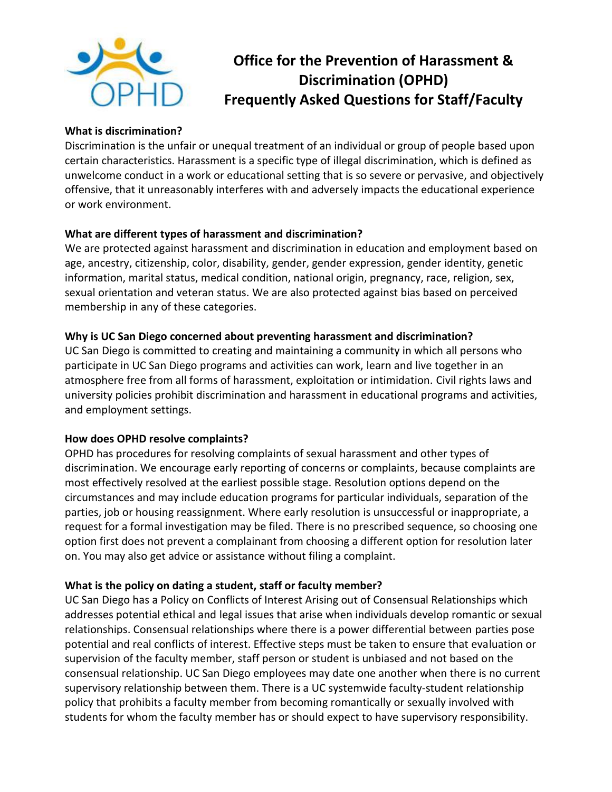

# **Office for the Prevention of Harassment & Discrimination (OPHD) Frequently Asked Questions for Staff/Faculty**

#### **What is discrimination?**

Discrimination is the unfair or unequal treatment of an individual or group of people based upon certain characteristics. Harassment is a specific type of illegal discrimination, which is defined as unwelcome conduct in a work or educational setting that is so severe or pervasive, and objectively offensive, that it unreasonably interferes with and adversely impacts the educational experience or work environment.

# **What are different types of harassment and discrimination?**

We are protected against harassment and discrimination in education and employment based on age, ancestry, citizenship, color, disability, gender, gender expression, gender identity, genetic information, marital status, medical condition, national origin, pregnancy, race, religion, sex, sexual orientation and veteran status. We are also protected against bias based on perceived membership in any of these categories.

### **Why is UC San Diego concerned about preventing harassment and discrimination?**

UC San Diego is committed to creating and maintaining a community in which all persons who participate in UC San Diego programs and activities can work, learn and live together in an atmosphere free from all forms of harassment, exploitation or intimidation. Civil rights laws and university policies prohibit discrimination and harassment in educational programs and activities, and employment settings.

#### **How does OPHD resolve complaints?**

OPHD has procedures for resolving complaints of sexual harassment and other types of discrimination. We encourage early reporting of concerns or complaints, because complaints are most effectively resolved at the earliest possible stage. Resolution options depend on the circumstances and may include education programs for particular individuals, separation of the parties, job or housing reassignment. Where early resolution is unsuccessful or inappropriate, a request for a formal investigation may be filed. There is no prescribed sequence, so choosing one option first does not prevent a complainant from choosing a different option for resolution later on. You may also get advice or assistance without filing a complaint.

# **What is the policy on dating a student, staff or faculty member?**

UC San Diego has a Policy on Conflicts of Interest Arising out of Consensual Relationships which addresses potential ethical and legal issues that arise when individuals develop romantic or sexual relationships. Consensual relationships where there is a power differential between parties pose potential and real conflicts of interest. Effective steps must be taken to ensure that evaluation or supervision of the faculty member, staff person or student is unbiased and not based on the consensual relationship. UC San Diego employees may date one another when there is no current supervisory relationship between them. There is a UC systemwide faculty-student relationship policy that prohibits a faculty member from becoming romantically or sexually involved with students for whom the faculty member has or should expect to have supervisory responsibility.